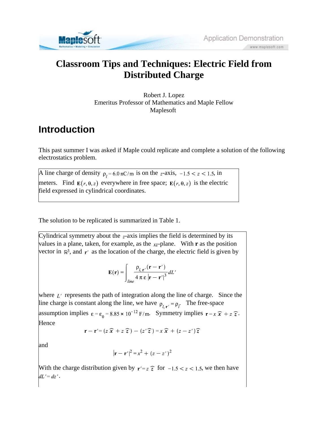

## **Classroom Tips and Techniques: Electric Field from Distributed Charge**

Robert J. Lopez Emeritus Professor of Mathematics and Maple Fellow Maplesoft

## **Introduction**

This past summer I was asked if Maple could replicate and complete a solution of the following electrostatics problem.

A line charge of density  $\rho_l = 6.0 \frac{\text{nC/m}}{\text{nC/m}}$  is on the z-axis,  $-1.5 < z < 1.5$ , in meters. Find  $E(r, \theta, z)$  everywhere in free space;  $E(r, \theta, z)$  is the electric field expressed in cylindrical coordinates.

The solution to be replicated is summarized in Table 1.

Cylindrical symmetry about the  $z$ -axis implies the field is determined by its values in a plane, taken, for example, as the  $_{xz}$ -plane. With **r** as the position vector in  $\mathbb{R}^3$ , and  $\mathbf{r}'$  as the location of the charge, the electric field is given by

$$
\mathbf{E}(\mathbf{r}) = \int_{line} \frac{\rho_{l,\mathbf{r}'}(\mathbf{r} - \mathbf{r}')}{4 \pi \varepsilon |\mathbf{r} - \mathbf{r}'|^3} dL'
$$

where  $\mathcal{L}'$  represents the path of integration along the line of charge. Since the line charge is constant along the line, we have  $\rho_{i,r'} = \rho_i$ . The free-space assumption implies  $\varepsilon = \varepsilon_0 = 8.85 \times 10^{-12}$  F/m. Symmetry implies  $r = x \hat{x} + z \hat{z}$ . Hence

$$
\mathbf{r} - \mathbf{r}' = (z \ \widehat{\mathbf{x}} + z \ \widehat{z}) - (z' \ \widehat{z}) = x \ \widehat{\mathbf{x}} + (z - z') \ \widehat{z}
$$

and

$$
|\mathbf{r} - \mathbf{r}'|^2 = x^2 + (z - z')^2
$$

With the charge distribution given by  $r' = z \hat{z}$  for  $-1.5 < z < 1.5$ , we then have  $dL' = dz'$ .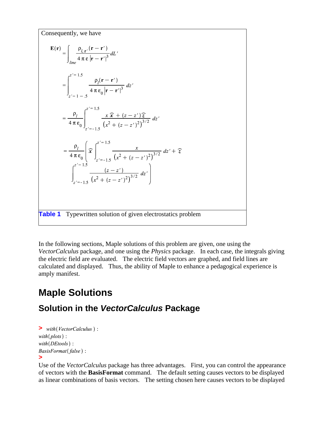Consequently, we have  $\mathbf{E}(\mathbf{r}) = \begin{bmatrix} \frac{\rho_{l,\mathbf{r}'}(\mathbf{r}-\mathbf{r}')}{4\pi\epsilon|\mathbf{r}-\mathbf{r}'|^{3}} dL' \end{bmatrix}$  $= \int_{z'=1}^{z'=1.5} \frac{\rho_l(\mathbf{r}-\mathbf{r}')}{4 \pi \varepsilon_0 |\mathbf{r}-\mathbf{r}'|^3} dz'$  $= \frac{\rho_l}{4 \pi \varepsilon_0} \int_{z'=-1.5}^{z'=1.5} \frac{x \widehat{x} + (z-z') \widehat{z}}{(x^2 + (z-z')^2)^{3/2}} dz'$  $= \frac{\rho_l}{4 \pi \epsilon_0} \left( \widehat{x} \right)^{z'=1.5} \frac{x}{(x^2 + (z - z')^2)^{3/2}} dz' + \widehat{z}$  $\int_{1}^{z'=1.5} \frac{(z-z')}{(x^2+(z-z')^2)^{3/2}} dz'$ **Table 1** Typewritten solution of given electrostatics problem

In the following sections, Maple solutions of this problem are given, one using the *VectorCalculus* package, and one using the *Physics* package. In each case, the integrals giving the electric field are evaluated. The electric field vectors are graphed, and field lines are calculated and displayed. Thus, the ability of Maple to enhance a pedagogical experience is amply manifest.

# **Maple Solutions**

#### **Solution in the** *VectorCalculus* **Package**

```
> with(VectorCalculus):
with (plots):
with (DEtools):
BasisFormat(false):
>
```
Use of the *VectorCalculus* package has three advantages. First, you can control the appearance of vectors with the **BasisFormat** command. The default setting causes vectors to be displayed as linear combinations of basis vectors. The setting chosen here causes vectors to be displayed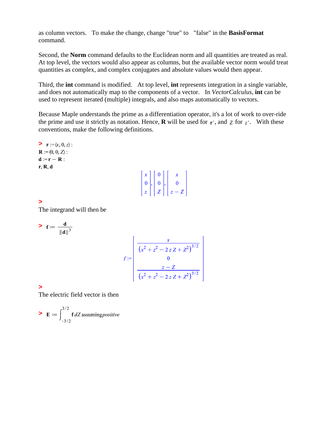as column vectors. To make the change, change "true" to "false" in the **BasisFormat** command.

Second, the **Norm** command defaults to the Euclidean norm and all quantities are treated as real. At top level, the vectors would also appear as columns, but the available vector norm would treat quantities as complex, and complex conjugates and absolute values would then appear.

Third, the **int** command is modified. At top level, **int** represents integration in a single variable, and does not automatically map to the components of a vector. In *VectorCalculus*, **int** can be used to represent iterated (multiple) integrals, and also maps automatically to vectors.

Because Maple understands the prime as a differentiation operator, it's a lot of work to over-ride the prime and use it strictly as notation. Hence, **R** will be used for  $r'$ , and  $\overline{z}$  for  $\overline{z'}$ . With these conventions, make the following definitions.

 $\triangleright$  **r** := $\langle x, 0, z \rangle$  :  $\mathbf{R} := \langle 0, 0, Z \rangle$ :  $d := r - R$ :  $r, R, d$  $\begin{bmatrix} x \\ 0 \\ z \end{bmatrix}, \begin{bmatrix} 0 \\ 0 \\ z \end{bmatrix}, \begin{bmatrix} x \\ 0 \\ z - z \end{bmatrix}$ **>** 

The integrand will then be

> 
$$
f := \frac{d}{\|d\|^3}
$$
  

$$
f := \begin{bmatrix} \frac{x}{(x^2 + z^2 - 2zZ + Z^2)^{3/2}} \\ 0 \\ \frac{z - Z}{(x^2 + z^2 - 2zZ + Z^2)^{3/2}} \end{bmatrix}
$$

**>** 

The electric field vector is then

$$
\triangleright \mathbf{E} := \int_{-3/2}^{3/2} \mathbf{f} \, dZ \, \text{assuming } positive
$$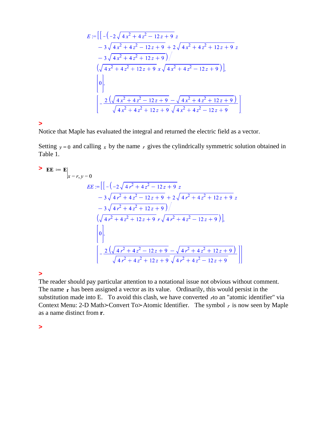$$
E := \left[ \left[ -( -2\sqrt{4x^2 + 4z^2 - 12z + 9} z - 3\sqrt{4x^2 + 4z^2 - 12z + 9} + 2\sqrt{4x^2 + 4z^2 + 12z + 9} z \right. \right. \\ \left. - 3\sqrt{4x^2 + 4z^2 + 12z + 9} \right) / \left. (\sqrt{4x^2 + 4z^2 + 12z + 9} x\sqrt{4x^2 + 4z^2 - 12z + 9}) \right],
$$
\n
$$
\left[ 0 \right],
$$
\n
$$
\left[ -\frac{2(\sqrt{4x^2 + 4z^2 - 12z + 9} - \sqrt{4x^2 + 4z^2 + 12z + 9})}{\sqrt{4x^2 + 4z^2 + 12z + 9} \sqrt{4x^2 + 4z^2 - 12z + 9}} \right]
$$

**>** 

Notice that Maple has evaluated the integral and returned the electric field as a vector.

Setting  $y = 0$  and calling x by the name r gives the cylindrically symmetric solution obtained in Table 1.

$$
\begin{aligned}\n\mathbf{E} \mathbf{E} &:= \mathbf{E} \Big|_{x=r, y=0} \\
E E &:= \Big[ \Big[ -\Big( -2\sqrt{4r^2 + 4z^2 - 12z + 9} \Big) z \Big] \\
&- 3\sqrt{4r^2 + 4z^2 - 12z + 9} + 2\sqrt{4r^2 + 4z^2 + 12z + 9} \Big] z \\
&- 3\sqrt{4r^2 + 4z^2 + 12z + 9} \Big) \Big/ \\
&\Big( \sqrt{4r^2 + 4z^2 + 12z + 9} \Big) r \sqrt{4r^2 + 4z^2 - 12z + 9} \Big) \Big], \\
&\Big[ 0 \Big|, \\
&- \frac{2\Big( \sqrt{4r^2 + 4z^2 - 12z + 9} - \sqrt{4r^2 + 4z^2 + 12z + 9} \Big) \Big|}{\sqrt{4r^2 + 4z^2 + 12z + 9} \sqrt{4r^2 + 4z^2 - 12z + 9}} \Big] \Big] \end{aligned}
$$

**>** 

The reader should pay particular attention to a notational issue not obvious without comment. The name  $r$  has been assigned a vector as its value. Ordinarily, this would persist in the substitution made into E. To avoid this clash, we have converted  $r$  to an "atomic identifier" via Context Menu: 2-D Math $\geq$ Convert To $\geq$ Atomic Identifier. The symbol r is now seen by Maple as a name distinct from **r**.

**>**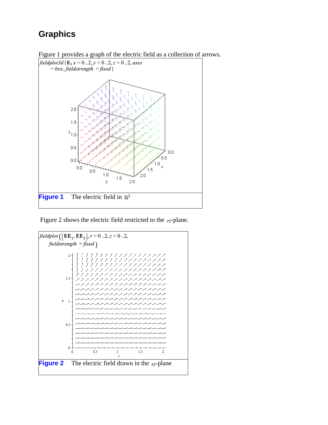## **Graphics**



Figure 1 provides a graph of the electric field as a collection of arrows.

Figure 2 shows the electric field restricted to the  $r_z$ -plane.

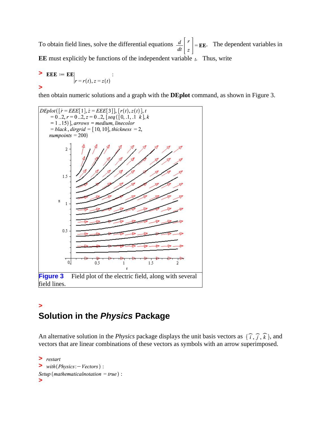To obtain field lines, solve the differential equations  $\frac{d}{dt}\begin{bmatrix} r \\ z \end{bmatrix} = \mathbf{EE}$ . The dependent variables in **EE** must explicitly be functions of the independent variable  $<sub>t</sub>$ . Thus, write</sub>

$$
\begin{aligned}\n &\text{EEE} := \text{EE} \\
 &|_{r} = r(t), z = z(t)\n \end{aligned}
$$

then obtain numeric solutions and a graph with the **DEplot** command, as shown in Figure 3.



#### **> Solution in the** *Physics* **Package**

An alternative solution in the *Physics* package displays the unit basis vectors as  $\{\hat{i}, \hat{j}, \hat{k}\}$ , and vectors that are linear combinations of these vectors as symbols with an arrow superimposed.

```
> 
\triangleright with (Physics: -Vectors) :
Setup (mathematicalnotation = true) :
>
```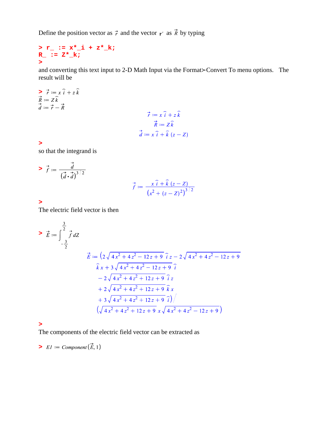Define the position vector as  $\vec{r}$  and the vector  $r'$  as  $\vec{R}$  by typing

#### **> r\_ := x\*\_i + z\*\_k; R\_ := Z\*\_k; >**

and converting this text input to 2-D Math Input via the Format>Convert To menu options. The result will be

$$
\vec{r} := x \hat{i} + z \hat{k}
$$
\n
$$
:= Z \hat{k}
$$
\n
$$
:= \vec{r} - \vec{R}
$$
\n
$$
\vec{r} := x \hat{i} + z \hat{k}
$$
\n
$$
\vec{R} := Z \hat{k}
$$
\n
$$
\vec{d} := x \hat{i} + \hat{k} (z - Z)
$$

**>** 

 $\geq$   $\frac{1}{R}$   $\geq$   $\frac{1}{d}$ 

so that the integrand is

> 
$$
\vec{f} := \frac{\vec{d}}{(\vec{d} \cdot \vec{d})^{3/2}}
$$
  

$$
\vec{f} := \frac{x \hat{i} + \hat{k}(z - z)}{(x^2 + (z - z)^2)^{3/2}}
$$

#### **>**

The electric field vector is then

$$
\sum \vec{E} := \int_{-\frac{3}{2}}^{\frac{3}{2}} \vec{f} \, dZ
$$
  
\n
$$
\vec{E} := \left(2\sqrt{4x^2 + 4z^2 - 12z + 9} \cdot \hat{i} \, z - 2\sqrt{4x^2 + 4z^2 - 12z + 9} \right)
$$
  
\n
$$
\hat{k} \, x + 3\sqrt{4x^2 + 4z^2 - 12z + 9} \cdot \hat{i}
$$
  
\n
$$
-2\sqrt{4x^2 + 4z^2 + 12z + 9} \cdot \hat{i} \, z
$$
  
\n
$$
+ 2\sqrt{4x^2 + 4z^2 + 12z + 9} \cdot \hat{k} \, x
$$
  
\n
$$
+ 3\sqrt{4x^2 + 4z^2 + 12z + 9} \cdot \hat{i} \, / \sqrt{\sqrt{4x^2 + 4z^2 - 12z + 9}}
$$

**>** 

The components of the electric field vector can be extracted as

$$
\blacktriangleright \ \mathit{E1} \coloneqq \mathit{Component}(\vec{E},1)
$$